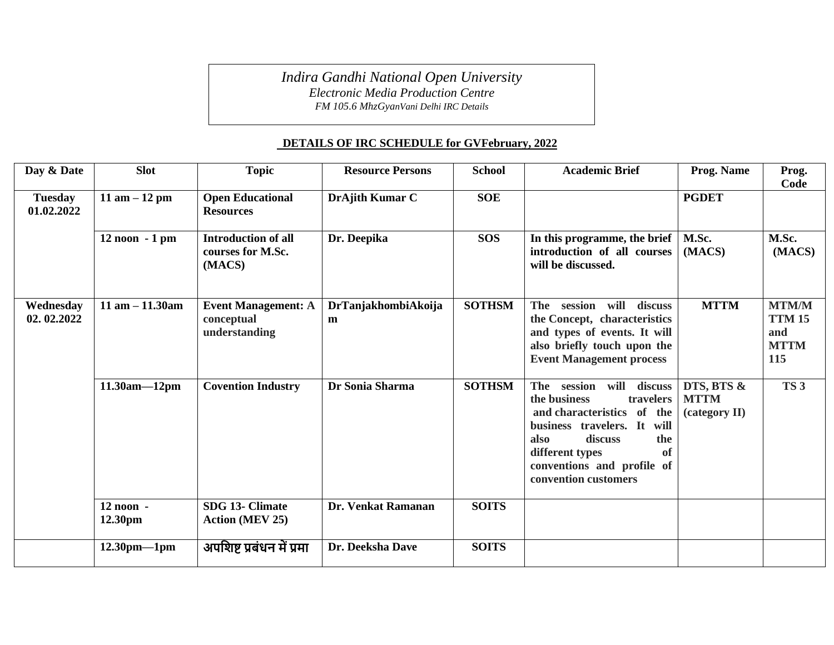*Indira Gandhi National Open University*

*Electronic Media Production Centre*

*FM 105.6 MhzGyanVani Delhi IRC Details*

## **DETAILS OF IRC SCHEDULE for GVFebruary, 2022**

| Day & Date                   | <b>Slot</b>            | <b>Topic</b>                                              | <b>Resource Persons</b>  | <b>School</b> | <b>Academic Brief</b>                                                                                                                                                                                                                        | Prog. Name                                 | Prog.<br>Code                                              |
|------------------------------|------------------------|-----------------------------------------------------------|--------------------------|---------------|----------------------------------------------------------------------------------------------------------------------------------------------------------------------------------------------------------------------------------------------|--------------------------------------------|------------------------------------------------------------|
| <b>Tuesday</b><br>01.02.2022 | 11 am $-12$ pm         | <b>Open Educational</b><br><b>Resources</b>               | DrAjith Kumar C          | <b>SOE</b>    |                                                                                                                                                                                                                                              | <b>PGDET</b>                               |                                                            |
|                              | $12$ noon $-1$ pm      | <b>Introduction of all</b><br>courses for M.Sc.<br>(MACS) | Dr. Deepika              | <b>SOS</b>    | In this programme, the brief<br>introduction of all courses<br>will be discussed.                                                                                                                                                            | M.Sc.<br>(MACS)                            | M.Sc.<br>(MACS)                                            |
| Wednesday<br>02.02.2022      | $11$ am $-11.30$ am    | <b>Event Management: A</b><br>conceptual<br>understanding | DrTanjakhombiAkoija<br>m | <b>SOTHSM</b> | session<br>will<br>discuss<br>The<br>the Concept, characteristics<br>and types of events. It will<br>also briefly touch upon the<br><b>Event Management process</b>                                                                          | <b>MTTM</b>                                | <b>MTM/M</b><br><b>TTM 15</b><br>and<br><b>MTTM</b><br>115 |
|                              | $11.30am - 12pm$       | <b>Covention Industry</b>                                 | Dr Sonia Sharma          | <b>SOTHSM</b> | will discuss<br>The<br>session<br>the business<br>travelers<br>and characteristics of the<br>business travelers. It will<br>discuss<br>the<br>also<br>different types<br><sub>of</sub><br>conventions and profile of<br>convention customers | DTS, BTS &<br><b>MTTM</b><br>(category II) | TS <sub>3</sub>                                            |
|                              | $12$ noon -<br>12.30pm | SDG 13- Climate<br><b>Action (MEV 25)</b>                 | Dr. Venkat Ramanan       | <b>SOITS</b>  |                                                                                                                                                                                                                                              |                                            |                                                            |
|                              | $12.30$ pm—1pm         | अपशिष्ट प्रबंधन में प्रमा                                 | Dr. Deeksha Dave         | <b>SOITS</b>  |                                                                                                                                                                                                                                              |                                            |                                                            |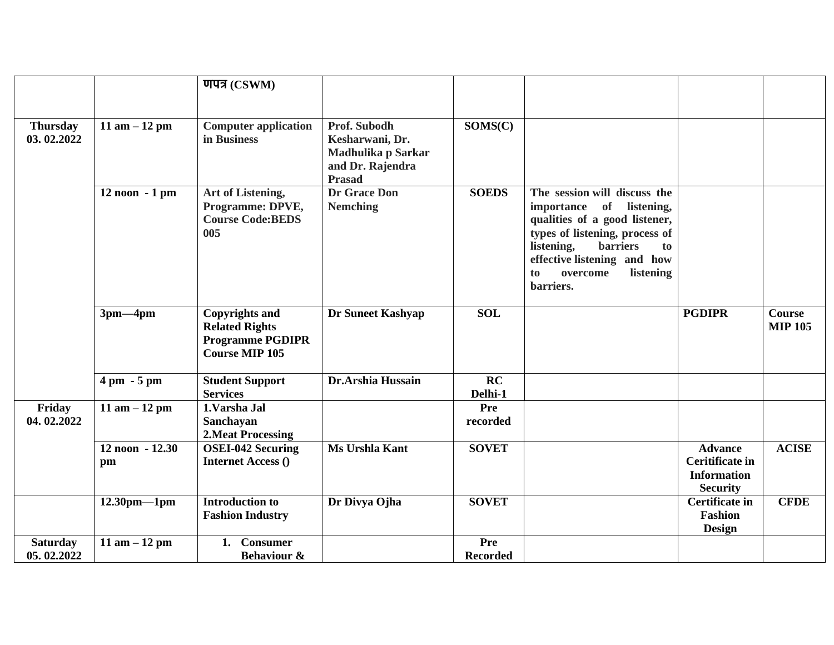|                               |                               | णपत्र (CSWM)                                                                                       |                                                                                            |                        |                                                                                                                                                                                                                                                     |                                                                            |                                 |
|-------------------------------|-------------------------------|----------------------------------------------------------------------------------------------------|--------------------------------------------------------------------------------------------|------------------------|-----------------------------------------------------------------------------------------------------------------------------------------------------------------------------------------------------------------------------------------------------|----------------------------------------------------------------------------|---------------------------------|
|                               |                               |                                                                                                    |                                                                                            |                        |                                                                                                                                                                                                                                                     |                                                                            |                                 |
| <b>Thursday</b><br>03.02.2022 | 11 am $-12$ pm                | <b>Computer application</b><br>in Business                                                         | Prof. Subodh<br>Kesharwani, Dr.<br>Madhulika p Sarkar<br>and Dr. Rajendra<br><b>Prasad</b> | SOMS(C)                |                                                                                                                                                                                                                                                     |                                                                            |                                 |
|                               | 12 noon - 1 pm                | Art of Listening,<br>Programme: DPVE,<br><b>Course Code: BEDS</b><br>005                           | <b>Dr Grace Don</b><br><b>Nemching</b>                                                     | <b>SOEDS</b>           | The session will discuss the<br>of<br>importance<br>listening,<br>qualities of a good listener,<br>types of listening, process of<br>listening,<br><b>barriers</b><br>to<br>effective listening and how<br>listening<br>to<br>overcome<br>barriers. |                                                                            |                                 |
|                               | $3pm-4pm$                     | <b>Copyrights and</b><br><b>Related Rights</b><br><b>Programme PGDIPR</b><br><b>Course MIP 105</b> | <b>Dr Suneet Kashyap</b>                                                                   | <b>SOL</b>             |                                                                                                                                                                                                                                                     | <b>PGDIPR</b>                                                              | <b>Course</b><br><b>MIP 105</b> |
|                               | $4 \text{ pm} - 5 \text{ pm}$ | <b>Student Support</b><br><b>Services</b>                                                          | Dr.Arshia Hussain                                                                          | RC<br>Delhi-1          |                                                                                                                                                                                                                                                     |                                                                            |                                 |
| Friday<br>04.02.2022          | 11 am $-12$ pm                | 1.Varsha Jal<br>Sanchayan<br><b>2. Meat Processing</b>                                             |                                                                                            | Pre<br>recorded        |                                                                                                                                                                                                                                                     |                                                                            |                                 |
|                               | 12 noon - 12.30<br>pm         | <b>OSEI-042 Securing</b><br><b>Internet Access ()</b>                                              | Ms Urshla Kant                                                                             | <b>SOVET</b>           |                                                                                                                                                                                                                                                     | <b>Advance</b><br>Ceritificate in<br><b>Information</b><br><b>Security</b> | <b>ACISE</b>                    |
|                               | $12.30$ pm-1pm                | <b>Introduction to</b><br><b>Fashion Industry</b>                                                  | Dr Divya Ojha                                                                              | <b>SOVET</b>           |                                                                                                                                                                                                                                                     | <b>Certificate in</b><br><b>Fashion</b><br><b>Design</b>                   | <b>CFDE</b>                     |
| <b>Saturday</b><br>05.02.2022 | 11 am $-12$ pm                | <b>Consumer</b><br>1.<br><b>Behaviour &amp;</b>                                                    |                                                                                            | Pre<br><b>Recorded</b> |                                                                                                                                                                                                                                                     |                                                                            |                                 |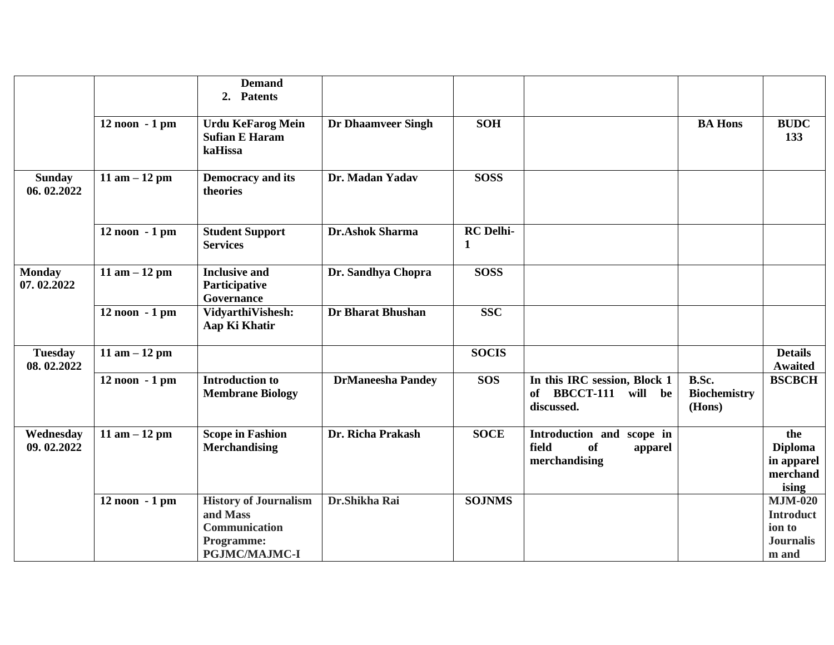|                              |                   | <b>Demand</b><br><b>Patents</b><br>2.                                                           |                           |                       |                                                                                |                                        |                                                                           |
|------------------------------|-------------------|-------------------------------------------------------------------------------------------------|---------------------------|-----------------------|--------------------------------------------------------------------------------|----------------------------------------|---------------------------------------------------------------------------|
|                              | $12$ noon $-1$ pm | <b>Urdu KeFarog Mein</b><br><b>Sufian E Haram</b><br>kaHissa                                    | <b>Dr Dhaamveer Singh</b> | <b>SOH</b>            |                                                                                | <b>BA Hons</b>                         | <b>BUDC</b><br>133                                                        |
| <b>Sunday</b><br>06.02.2022  | 11 am $-12$ pm    | <b>Democracy and its</b><br>theories                                                            | Dr. Madan Yadav           | <b>SOSS</b>           |                                                                                |                                        |                                                                           |
|                              | 12 noon - 1 pm    | <b>Student Support</b><br><b>Services</b>                                                       | Dr.Ashok Sharma           | <b>RC</b> Delhi-<br>1 |                                                                                |                                        |                                                                           |
| <b>Monday</b><br>07.02.2022  | 11 am $-12$ pm    | <b>Inclusive and</b><br>Participative<br>Governance                                             | Dr. Sandhya Chopra        | <b>SOSS</b>           |                                                                                |                                        |                                                                           |
|                              | $12$ noon $-1$ pm | VidyarthiVishesh:<br>Aap Ki Khatir                                                              | <b>Dr Bharat Bhushan</b>  | <b>SSC</b>            |                                                                                |                                        |                                                                           |
| <b>Tuesday</b><br>08.02.2022 | 11 am $-12$ pm    |                                                                                                 |                           | <b>SOCIS</b>          |                                                                                |                                        | <b>Details</b><br><b>Awaited</b>                                          |
|                              | $12$ noon $-1$ pm | <b>Introduction to</b><br><b>Membrane Biology</b>                                               | <b>DrManeesha Pandey</b>  | <b>SOS</b>            | In this IRC session, Block 1<br>of BBCCT-111<br>will be<br>discussed.          | B.Sc.<br><b>Biochemistry</b><br>(Hons) | <b>BSCBCH</b>                                                             |
| Wednesday<br>09.02.2022      | 11 am $-12$ pm    | <b>Scope in Fashion</b><br><b>Merchandising</b>                                                 | Dr. Richa Prakash         | <b>SOCE</b>           | Introduction and<br>scope in<br><b>of</b><br>field<br>apparel<br>merchandising |                                        | the<br><b>Diploma</b><br>in apparel<br>merchand<br>ising                  |
|                              | 12 noon - 1 pm    | <b>History of Journalism</b><br>and Mass<br>Communication<br>Programme:<br><b>PGJMC/MAJMC-I</b> | Dr.Shikha Rai             | <b>SOJNMS</b>         |                                                                                |                                        | <b>MJM-020</b><br><b>Introduct</b><br>ion to<br><b>Journalis</b><br>m and |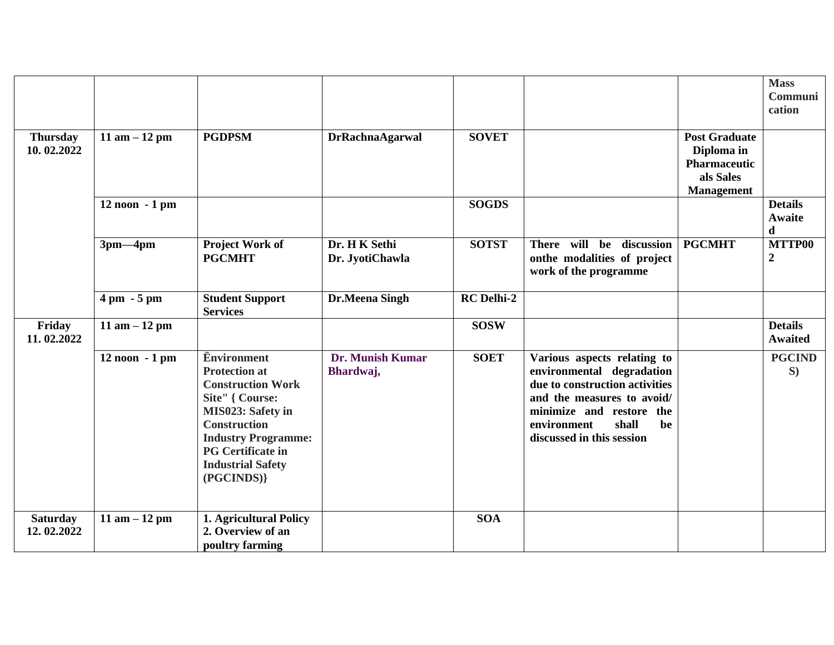|                               |                               |                                                                                                                                                                                                                                           |                                  |                   |                                                                                                                                                                                                                 |                                                                                             | <b>Mass</b><br>Communi            |
|-------------------------------|-------------------------------|-------------------------------------------------------------------------------------------------------------------------------------------------------------------------------------------------------------------------------------------|----------------------------------|-------------------|-----------------------------------------------------------------------------------------------------------------------------------------------------------------------------------------------------------------|---------------------------------------------------------------------------------------------|-----------------------------------|
|                               |                               |                                                                                                                                                                                                                                           |                                  |                   |                                                                                                                                                                                                                 |                                                                                             | cation                            |
| <b>Thursday</b><br>10.02.2022 | 11 am $-12$ pm                | <b>PGDPSM</b>                                                                                                                                                                                                                             | <b>DrRachnaAgarwal</b>           | <b>SOVET</b>      |                                                                                                                                                                                                                 | <b>Post Graduate</b><br>Diploma in<br><b>Pharmaceutic</b><br>als Sales<br><b>Management</b> |                                   |
|                               | $12$ noon $-1$ pm             |                                                                                                                                                                                                                                           |                                  | <b>SOGDS</b>      |                                                                                                                                                                                                                 |                                                                                             | <b>Details</b><br>Awaite<br>d     |
|                               | $3pm-4pm$                     | Project Work of<br><b>PGCMHT</b>                                                                                                                                                                                                          | Dr. H K Sethi<br>Dr. JyotiChawla | <b>SOTST</b>      | There will be discussion<br>onthe modalities of project<br>work of the programme                                                                                                                                | <b>PGCMHT</b>                                                                               | <b>MTTP00</b><br>$\boldsymbol{2}$ |
|                               | $4 \text{ pm} - 5 \text{ pm}$ | <b>Student Support</b><br><b>Services</b>                                                                                                                                                                                                 | Dr.Meena Singh                   | <b>RC</b> Delhi-2 |                                                                                                                                                                                                                 |                                                                                             |                                   |
| Friday<br>11.02.2022          | 11 am $-12$ pm                |                                                                                                                                                                                                                                           |                                  | <b>SOSW</b>       |                                                                                                                                                                                                                 |                                                                                             | <b>Details</b><br><b>Awaited</b>  |
|                               | $12$ noon $-1$ pm             | <b>Environment</b><br><b>Protection at</b><br><b>Construction Work</b><br>Site" { Course:<br>MIS023: Safety in<br><b>Construction</b><br><b>Industry Programme:</b><br><b>PG</b> Certificate in<br><b>Industrial Safety</b><br>(PGCINDS)} | Dr. Munish Kumar<br>Bhardwaj,    | <b>SOET</b>       | Various aspects relating to<br>environmental degradation<br>due to construction activities<br>and the measures to avoid/<br>minimize and restore the<br>shall<br>environment<br>be<br>discussed in this session |                                                                                             | <b>PGCIND</b><br>S)               |
| <b>Saturday</b><br>12.02.2022 | 11 am $-12$ pm                | 1. Agricultural Policy<br>2. Overview of an<br>poultry farming                                                                                                                                                                            |                                  | <b>SOA</b>        |                                                                                                                                                                                                                 |                                                                                             |                                   |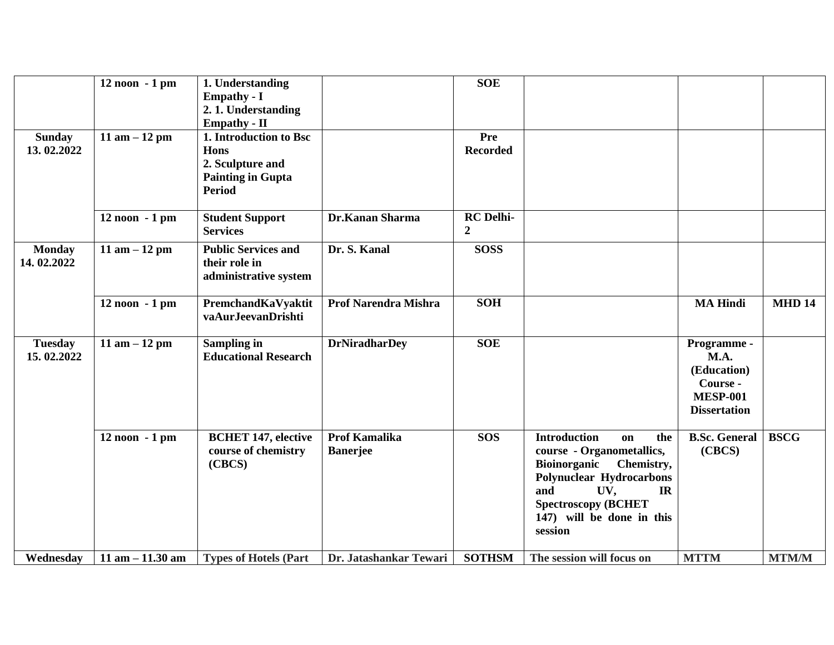|                              | 12 noon - 1 pm      | 1. Understanding<br><b>Empathy - I</b><br>2.1. Understanding<br><b>Empathy - II</b>                    |                                         | <b>SOE</b>                         |                                                                                                                                                                                                                       |                                                                                                 |               |
|------------------------------|---------------------|--------------------------------------------------------------------------------------------------------|-----------------------------------------|------------------------------------|-----------------------------------------------------------------------------------------------------------------------------------------------------------------------------------------------------------------------|-------------------------------------------------------------------------------------------------|---------------|
| <b>Sunday</b><br>13.02.2022  | 11 am $-12$ pm      | 1. Introduction to Bsc<br><b>Hons</b><br>2. Sculpture and<br><b>Painting in Gupta</b><br><b>Period</b> |                                         | Pre<br><b>Recorded</b>             |                                                                                                                                                                                                                       |                                                                                                 |               |
|                              | $12$ noon $-1$ pm   | <b>Student Support</b><br><b>Services</b>                                                              | Dr.Kanan Sharma                         | <b>RC</b> Delhi-<br>$\overline{2}$ |                                                                                                                                                                                                                       |                                                                                                 |               |
| <b>Monday</b><br>14.02.2022  | 11 am $-12$ pm      | <b>Public Services and</b><br>their role in<br>administrative system                                   | Dr. S. Kanal                            | <b>SOSS</b>                        |                                                                                                                                                                                                                       |                                                                                                 |               |
|                              | $12$ noon $-1$ pm   | PremchandKaVyaktit<br>vaAurJeevanDrishti                                                               | <b>Prof Narendra Mishra</b>             | <b>SOH</b>                         |                                                                                                                                                                                                                       | <b>MA Hindi</b>                                                                                 | <b>MHD 14</b> |
| <b>Tuesday</b><br>15.02.2022 | 11 am $-12$ pm      | <b>Sampling in</b><br><b>Educational Research</b>                                                      | <b>DrNiradharDey</b>                    | <b>SOE</b>                         |                                                                                                                                                                                                                       | Programme -<br><b>M.A.</b><br>(Education)<br>Course -<br><b>MESP-001</b><br><b>Dissertation</b> |               |
|                              | $12$ noon $-1$ pm   | <b>BCHET 147, elective</b><br>course of chemistry<br>(CBCS)                                            | <b>Prof Kamalika</b><br><b>Banerjee</b> | <b>SOS</b>                         | <b>Introduction</b><br>the<br>on<br>course - Organometallics,<br>Bioinorganic Chemistry,<br><b>Polynuclear Hydrocarbons</b><br>and<br>UV,<br>IR<br><b>Spectroscopy (BCHET</b><br>147) will be done in this<br>session | <b>B.Sc. General</b><br>(CBCS)                                                                  | <b>BSCG</b>   |
| Wednesday                    | $11$ am $-11.30$ am | <b>Types of Hotels (Part</b>                                                                           | Dr. Jatashankar Tewari                  | <b>SOTHSM</b>                      | The session will focus on                                                                                                                                                                                             | <b>MTTM</b>                                                                                     | <b>MTM/M</b>  |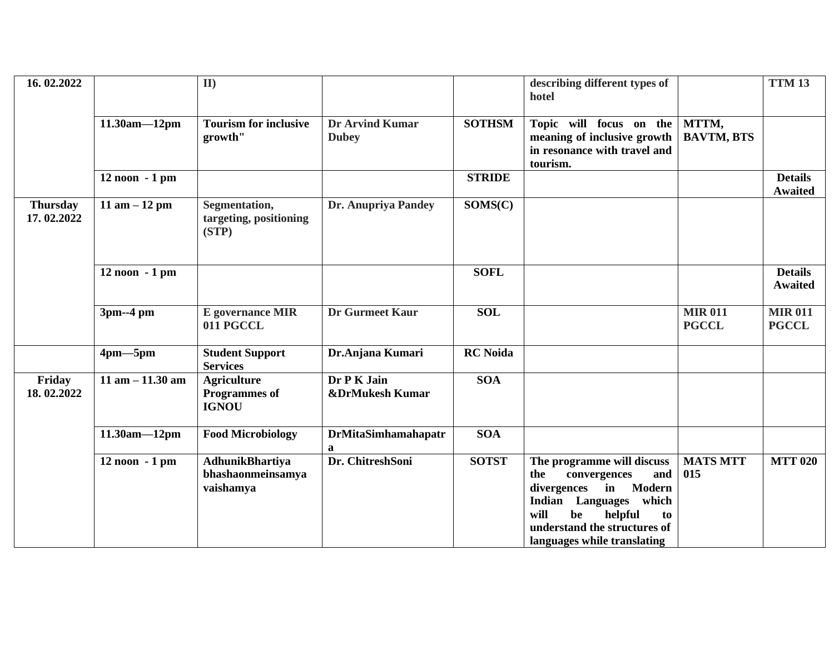| 16.02.2022                    |                     | II                                                         |                                        |                 | describing different types of<br>hotel                                                                                                                                                                                 |                                | <b>TTM 13</b>                    |
|-------------------------------|---------------------|------------------------------------------------------------|----------------------------------------|-----------------|------------------------------------------------------------------------------------------------------------------------------------------------------------------------------------------------------------------------|--------------------------------|----------------------------------|
|                               | $11.30am - 12pm$    | <b>Tourism for inclusive</b><br>growth"                    | <b>Dr Arvind Kumar</b><br><b>Dubey</b> | <b>SOTHSM</b>   | Topic will focus on the<br>meaning of inclusive growth<br>in resonance with travel and<br>tourism.                                                                                                                     | MTTM,<br><b>BAVTM, BTS</b>     |                                  |
|                               | 12 noon - 1 pm      |                                                            |                                        | <b>STRIDE</b>   |                                                                                                                                                                                                                        |                                | <b>Details</b><br><b>Awaited</b> |
| <b>Thursday</b><br>17.02.2022 | 11 am $-12$ pm      | Segmentation,<br>targeting, positioning<br>(STP)           | Dr. Anupriya Pandey                    | SOMS(C)         |                                                                                                                                                                                                                        |                                |                                  |
|                               | 12 noon - 1 pm      |                                                            |                                        | <b>SOFL</b>     |                                                                                                                                                                                                                        |                                | <b>Details</b><br><b>Awaited</b> |
|                               | 3pm--4 pm           | <b>E</b> governance MIR<br>011 PGCCL                       | <b>Dr Gurmeet Kaur</b>                 | <b>SOL</b>      |                                                                                                                                                                                                                        | <b>MIR 011</b><br><b>PGCCL</b> | <b>MIR 011</b><br><b>PGCCL</b>   |
|                               | $4pm-5pm$           | <b>Student Support</b><br><b>Services</b>                  | Dr.Anjana Kumari                       | <b>RC</b> Noida |                                                                                                                                                                                                                        |                                |                                  |
| Friday<br>18.02.2022          | $11$ am $-11.30$ am | <b>Agriculture</b><br><b>Programmes of</b><br><b>IGNOU</b> | Dr P K Jain<br>&DrMukesh Kumar         | <b>SOA</b>      |                                                                                                                                                                                                                        |                                |                                  |
|                               | $11.30am - 12pm$    | <b>Food Microbiology</b>                                   | <b>DrMitaSimhamahapatr</b><br>a        | SOA             |                                                                                                                                                                                                                        |                                |                                  |
|                               | $12$ noon $-1$ pm   | <b>AdhunikBhartiya</b><br>bhashaonmeinsamya<br>vaishamya   | Dr. ChitreshSoni                       | <b>SOTST</b>    | The programme will discuss<br>and<br>convergences<br>the<br>in Modern<br>divergences<br>Languages which<br><b>Indian</b><br>will<br>be<br>helpful<br>to<br>understand the structures of<br>languages while translating | <b>MATS MTT</b><br>015         | <b>MTT 020</b>                   |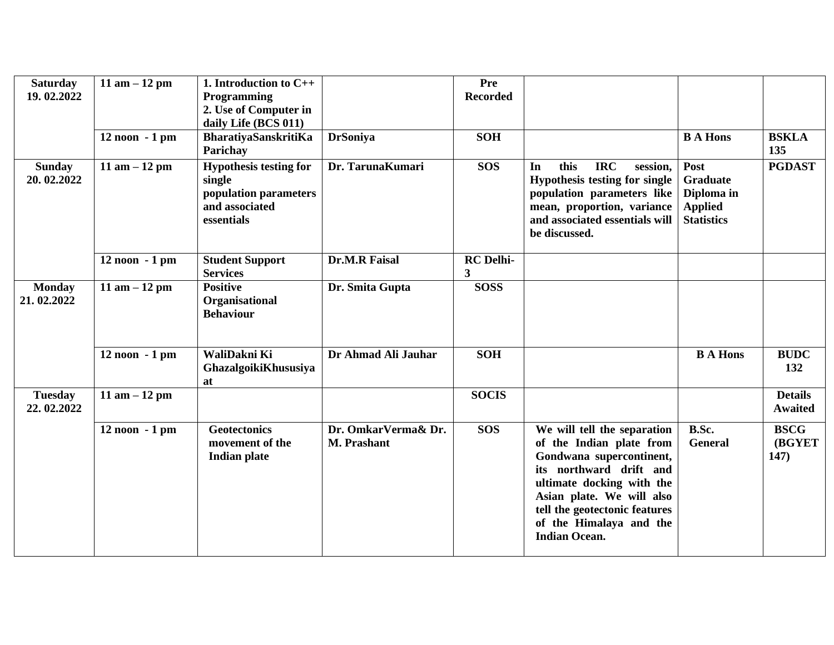| <b>Saturday</b><br>19.02.2022 | 11 am $-12$ pm    | 1. Introduction to $C_{++}$<br>Programming<br>2. Use of Computer in<br>daily Life (BCS 011)      |                                    | <b>Pre</b><br><b>Recorded</b> |                                                                                                                                                                                                                                                              |                                                                              |                                       |
|-------------------------------|-------------------|--------------------------------------------------------------------------------------------------|------------------------------------|-------------------------------|--------------------------------------------------------------------------------------------------------------------------------------------------------------------------------------------------------------------------------------------------------------|------------------------------------------------------------------------------|---------------------------------------|
|                               | $12$ noon $-1$ pm | <b>BharatiyaSanskritiKa</b><br>Parichay                                                          | <b>DrSoniya</b>                    | <b>SOH</b>                    |                                                                                                                                                                                                                                                              | <b>B</b> A Hons                                                              | <b>BSKLA</b><br>135                   |
| <b>Sunday</b><br>20.02.2022   | 11 am $-12$ pm    | <b>Hypothesis testing for</b><br>single<br>population parameters<br>and associated<br>essentials | Dr. TarunaKumari                   | <b>SOS</b>                    | <b>IRC</b><br>this<br>In<br>session,<br>Hypothesis testing for single<br>population parameters like<br>mean, proportion, variance<br>and associated essentials will<br>be discussed.                                                                         | Post<br><b>Graduate</b><br>Diploma in<br><b>Applied</b><br><b>Statistics</b> | <b>PGDAST</b>                         |
|                               | $12$ noon $-1$ pm | <b>Student Support</b><br><b>Services</b>                                                        | <b>Dr.M.R Faisal</b>               | <b>RC</b> Delhi-<br>3         |                                                                                                                                                                                                                                                              |                                                                              |                                       |
| <b>Monday</b><br>21.02.2022   | 11 am $-12$ pm    | <b>Positive</b><br>Organisational<br><b>Behaviour</b>                                            | Dr. Smita Gupta                    | <b>SOSS</b>                   |                                                                                                                                                                                                                                                              |                                                                              |                                       |
|                               | $12$ noon $-1$ pm | WaliDakni Ki<br>GhazalgoikiKhususiya<br>at                                                       | Dr Ahmad Ali Jauhar                | <b>SOH</b>                    |                                                                                                                                                                                                                                                              | <b>B A Hons</b>                                                              | <b>BUDC</b><br>132                    |
| <b>Tuesday</b><br>22.02.2022  | 11 am $-12$ pm    |                                                                                                  |                                    | <b>SOCIS</b>                  |                                                                                                                                                                                                                                                              |                                                                              | <b>Details</b><br><b>Awaited</b>      |
|                               | $12$ noon $-1$ pm | <b>Geotectonics</b><br>movement of the<br><b>Indian plate</b>                                    | Dr. OmkarVerma& Dr.<br>M. Prashant | <b>SOS</b>                    | We will tell the separation<br>of the Indian plate from<br>Gondwana supercontinent,<br>its northward drift and<br>ultimate docking with the<br>Asian plate. We will also<br>tell the geotectonic features<br>of the Himalaya and the<br><b>Indian Ocean.</b> | B.Sc.<br><b>General</b>                                                      | <b>BSCG</b><br><b>(BGYET)</b><br>147) |